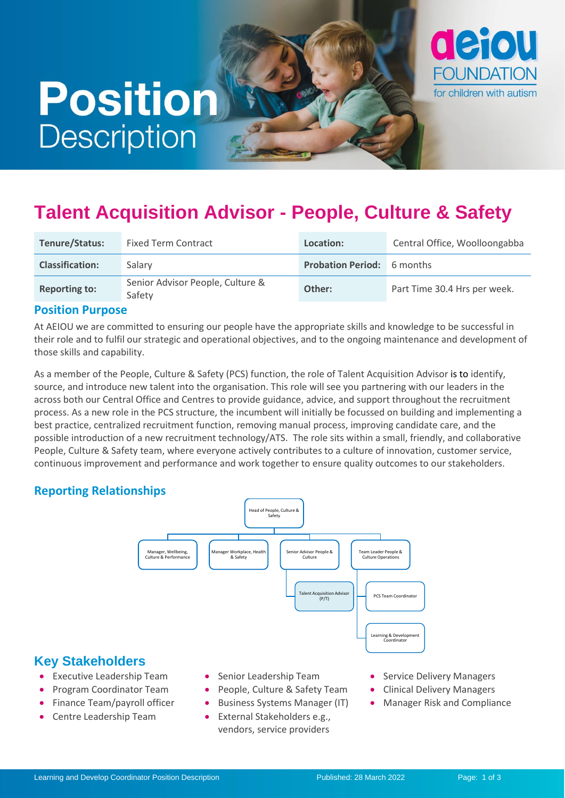# **Position Description**



# **Talent Acquisition Advisor - People, Culture & Safety**

| Tenure/Status:         | <b>Fixed Term Contract</b>                 | Location:                         | Central Office, Woolloongabba |
|------------------------|--------------------------------------------|-----------------------------------|-------------------------------|
| <b>Classification:</b> | Salary                                     | <b>Probation Period:</b> 6 months |                               |
| <b>Reporting to:</b>   | Senior Advisor People, Culture &<br>Safety | Other:                            | Part Time 30.4 Hrs per week.  |

#### **Position Purpose**

At AEIOU we are committed to ensuring our people have the appropriate skills and knowledge to be successful in their role and to fulfil our strategic and operational objectives, and to the ongoing maintenance and development of those skills and capability.

As a member of the People, Culture & Safety (PCS) function, the role of Talent Acquisition Advisor is to identify, source, and introduce new talent into the organisation. This role will see you partnering with our leaders in the across both our Central Office and Centres to provide guidance, advice, and support throughout the recruitment process. As a new role in the PCS structure, the incumbent will initially be focussed on building and implementing a best practice, centralized recruitment function, removing manual process, improving candidate care, and the possible introduction of a new recruitment technology/ATS. The role sits within a small, friendly, and collaborative People, Culture & Safety team, where everyone actively contributes to a culture of innovation, customer service, continuous improvement and performance and work together to ensure quality outcomes to our stakeholders.

#### **Reporting Relationships**



# **Key Stakeholders**

- Executive Leadership Team
- Program Coordinator Team
- Finance Team/payroll officer
- Centre Leadership Team
- Senior Leadership Team
- People, Culture & Safety Team
- Business Systems Manager (IT)
- External Stakeholders e.g., vendors, service providers
- Service Delivery Managers
- Clinical Delivery Managers
- Manager Risk and Compliance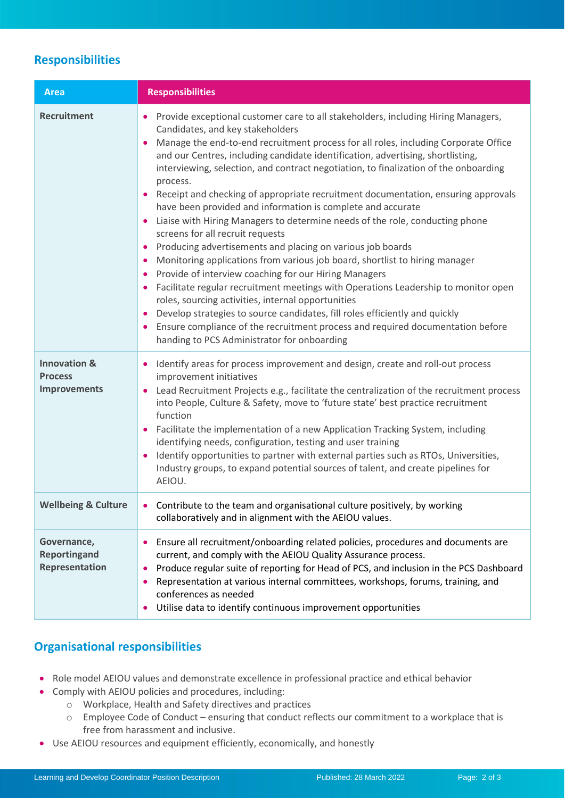# **Responsibilities**

| <b>Area</b>                                                      | <b>Responsibilities</b>                                                                                                                                                                                                                                                                                                                                                                                                                                                                                                                                                                                                                                                                                                                                                                                                                                                                                                                                                                                                                                                                                                                                                                                                                            |
|------------------------------------------------------------------|----------------------------------------------------------------------------------------------------------------------------------------------------------------------------------------------------------------------------------------------------------------------------------------------------------------------------------------------------------------------------------------------------------------------------------------------------------------------------------------------------------------------------------------------------------------------------------------------------------------------------------------------------------------------------------------------------------------------------------------------------------------------------------------------------------------------------------------------------------------------------------------------------------------------------------------------------------------------------------------------------------------------------------------------------------------------------------------------------------------------------------------------------------------------------------------------------------------------------------------------------|
| <b>Recruitment</b>                                               | Provide exceptional customer care to all stakeholders, including Hiring Managers,<br>٠<br>Candidates, and key stakeholders<br>Manage the end-to-end recruitment process for all roles, including Corporate Office<br>and our Centres, including candidate identification, advertising, shortlisting,<br>interviewing, selection, and contract negotiation, to finalization of the onboarding<br>process.<br>Receipt and checking of appropriate recruitment documentation, ensuring approvals<br>have been provided and information is complete and accurate<br>Liaise with Hiring Managers to determine needs of the role, conducting phone<br>screens for all recruit requests<br>Producing advertisements and placing on various job boards<br>Monitoring applications from various job board, shortlist to hiring manager<br>Provide of interview coaching for our Hiring Managers<br>Facilitate regular recruitment meetings with Operations Leadership to monitor open<br>roles, sourcing activities, internal opportunities<br>Develop strategies to source candidates, fill roles efficiently and quickly<br>Ensure compliance of the recruitment process and required documentation before<br>handing to PCS Administrator for onboarding |
| <b>Innovation &amp;</b><br><b>Process</b><br><b>Improvements</b> | Identify areas for process improvement and design, create and roll-out process<br>٠<br>improvement initiatives<br>Lead Recruitment Projects e.g., facilitate the centralization of the recruitment process<br>into People, Culture & Safety, move to 'future state' best practice recruitment<br>function<br>Facilitate the implementation of a new Application Tracking System, including<br>identifying needs, configuration, testing and user training<br>Identify opportunities to partner with external parties such as RTOs, Universities,<br>Industry groups, to expand potential sources of talent, and create pipelines for<br>AEIOU.                                                                                                                                                                                                                                                                                                                                                                                                                                                                                                                                                                                                     |
| <b>Wellbeing &amp; Culture</b>                                   | • Contribute to the team and organisational culture positively, by working<br>collaboratively and in alignment with the AEIOU values.                                                                                                                                                                                                                                                                                                                                                                                                                                                                                                                                                                                                                                                                                                                                                                                                                                                                                                                                                                                                                                                                                                              |
| Governance,<br>Reportingand<br>Representation                    | Ensure all recruitment/onboarding related policies, procedures and documents are<br>current, and comply with the AEIOU Quality Assurance process.<br>Produce regular suite of reporting for Head of PCS, and inclusion in the PCS Dashboard<br>Representation at various internal committees, workshops, forums, training, and<br>٠<br>conferences as needed<br>Utilise data to identify continuous improvement opportunities<br>$\bullet$                                                                                                                                                                                                                                                                                                                                                                                                                                                                                                                                                                                                                                                                                                                                                                                                         |

## **Organisational responsibilities**

- Role model AEIOU values and demonstrate excellence in professional practice and ethical behavior
- Comply with AEIOU policies and procedures, including:
	- o Workplace, Health and Safety directives and practices
	- o Employee Code of Conduct ensuring that conduct reflects our commitment to a workplace that is free from harassment and inclusive.
- Use AEIOU resources and equipment efficiently, economically, and honestly